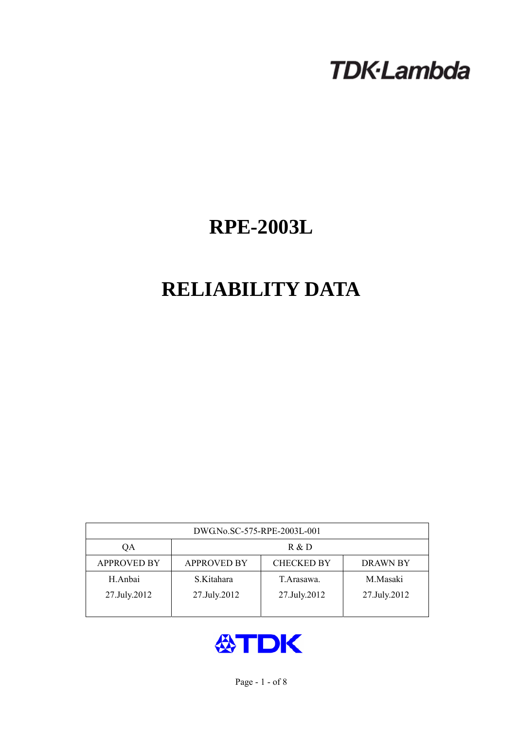# **TDK-Lambda**

## **RPE-2003L**

## **RELIABILITY DATA**

| DWG.No.SC-575-RPE-2003L-001 |                                                            |              |              |  |  |  |
|-----------------------------|------------------------------------------------------------|--------------|--------------|--|--|--|
| ОA                          | R & D                                                      |              |              |  |  |  |
| <b>APPROVED BY</b>          | <b>CHECKED BY</b><br><b>APPROVED BY</b><br><b>DRAWN BY</b> |              |              |  |  |  |
| H.Anbai                     | S.Kitahara                                                 | T Arasawa.   | M.Masaki     |  |  |  |
| 27.July.2012                | 27.July.2012                                               | 27.July.2012 | 27.July.2012 |  |  |  |
|                             |                                                            |              |              |  |  |  |

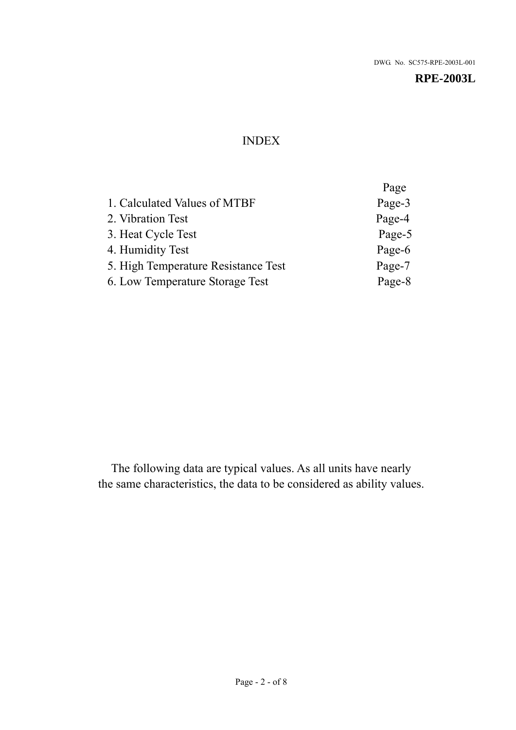## INDEX

|                                     | Page   |
|-------------------------------------|--------|
| 1. Calculated Values of MTBF        | Page-3 |
| 2. Vibration Test                   | Page-4 |
| 3. Heat Cycle Test                  | Page-5 |
| 4. Humidity Test                    | Page-6 |
| 5. High Temperature Resistance Test | Page-7 |
| 6. Low Temperature Storage Test     | Page-8 |

The following data are typical values. As all units have nearly the same characteristics, the data to be considered as ability values.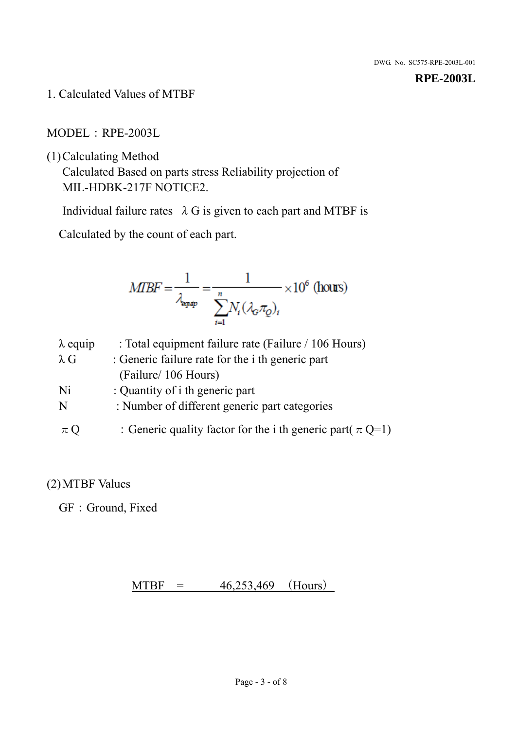1. Calculated Values of MTBF

MODEL:RPE-2003L

(1)Calculating Method

Calculated Based on parts stress Reliability projection of MIL-HDBK-217F NOTICE2.

Individual failure rates  $\lambda$  G is given to each part and MTBF is

Calculated by the count of each part.

$$
MIBF = \frac{1}{\lambda_{\text{expap}}} = \frac{1}{\sum_{i=1}^{n} N_i (\lambda_{\text{G}} \pi_Q)_i} \times 10^6 \text{ (hours)}
$$

| $\lambda$ equip | : Total equipment failure rate (Failure / 106 Hours)            |
|-----------------|-----------------------------------------------------------------|
| $\lambda$ G     | : Generic failure rate for the <i>i</i> th generic part         |
|                 | (Failure/ 106 Hours)                                            |
| Ni              | : Quantity of i th generic part                                 |
| N               | : Number of different generic part categories                   |
| $\pi Q$         | : Generic quality factor for the i th generic part( $\pi Q=1$ ) |

### (2)MTBF Values

GF: Ground, Fixed

### $MTBF = 46,253,469$  (Hours)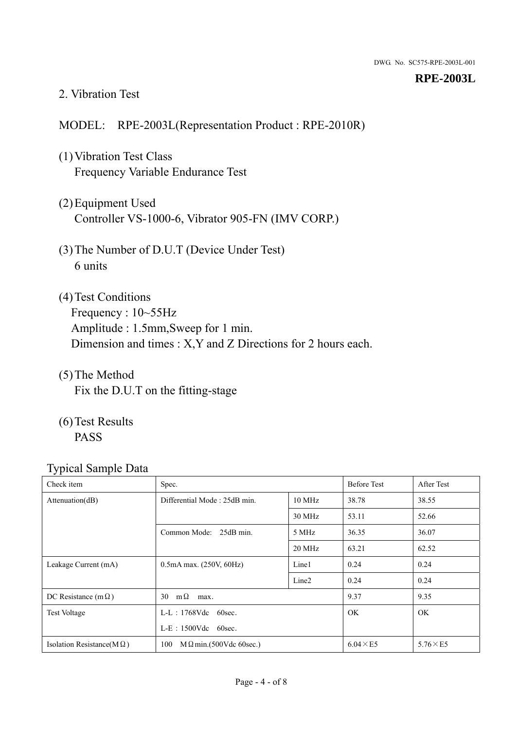#### 2. Vibration Test

#### MODEL: RPE-2003L(Representation Product : RPE-2010R)

- (1)Vibration Test Class Frequency Variable Endurance Test
- (2)Equipment Used Controller VS-1000-6, Vibrator 905-FN (IMV CORP.)
- (3)The Number of D.U.T (Device Under Test) 6 units
- (4) Test Conditions Frequency : 10~55Hz Amplitude : 1.5mm,Sweep for 1 min. Dimension and times : X,Y and Z Directions for 2 hours each.
- (5)The Method Fix the D.U.T on the fitting-stage
- (6)Test Results PASS

| Check item                        | Spec.                                |                   | <b>Before Test</b> | After Test      |
|-----------------------------------|--------------------------------------|-------------------|--------------------|-----------------|
| Attenuation(dB)                   | Differential Mode: 25dB min.         |                   | 38.78              | 38.55           |
|                                   |                                      | 30 MHz            | 53.11              | 52.66           |
|                                   | Common Mode: 25dB min.               | 5 MHz             | 36.35              | 36.07           |
|                                   |                                      | 20 MHz            | 63.21              | 62.52           |
| Leakage Current (mA)              | $0.5mA$ max. $(250V, 60Hz)$          | Line1             | 0.24               | 0.24            |
|                                   |                                      | Line <sub>2</sub> | 0.24               | 0.24            |
| DC Resistance (m $\Omega$ )       | $m\Omega$<br>30<br>max.              |                   | 9.37               | 9.35            |
| <b>Test Voltage</b>               | $L-L$ : 1768Vdc 60sec.               |                   | <b>OK</b>          | <b>OK</b>       |
|                                   | $L-E$ : 1500Vdc 60sec.               |                   |                    |                 |
| Isolation Resistance( $M\Omega$ ) | 100<br>$M\Omega$ min.(500Vdc 60sec.) |                   | $6.04 \times E5$   | $5.76\times E5$ |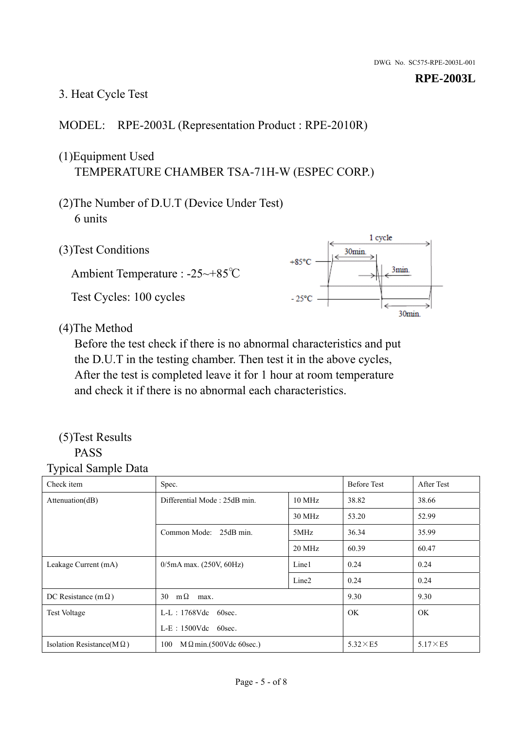#### 3. Heat Cycle Test

#### MODEL: RPE-2003L (Representation Product : RPE-2010R)

## (1)Equipment Used TEMPERATURE CHAMBER TSA-71H-W (ESPEC CORP.)

- (2)The Number of D.U.T (Device Under Test) 6 units
- 1 cycle (3)Test Conditions 30<sub>min</sub>  $+85^{\circ}$ C 3min. Ambient Temperature : -25~+85℃ Test Cycles: 100 cycles  $-25^{\circ}$ C 30min.

(4)The Method

Before the test check if there is no abnormal characteristics and put the D.U.T in the testing chamber. Then test it in the above cycles, After the test is completed leave it for 1 hour at room temperature and check it if there is no abnormal each characteristics.

#### (5)Test Results PASS

| ┙┸<br>$\mathbf{I}$<br>Check item  | Spec.                                  |                   | <b>Before Test</b> | After Test      |
|-----------------------------------|----------------------------------------|-------------------|--------------------|-----------------|
| Attention(dB)                     | Differential Mode: 25dB min.<br>10 MHz |                   | 38.82              | 38.66           |
|                                   |                                        | 30 MHz            | 53.20              | 52.99           |
|                                   | Common Mode: 25dB min.                 | 5MHz              | 36.34              | 35.99           |
|                                   |                                        | 20 MHz            | 60.39              | 60.47           |
| Leakage Current (mA)              | $0/5$ mA max. (250V, 60Hz)             | Line1             | 0.24               | 0.24            |
|                                   |                                        | Line <sub>2</sub> | 0.24               | 0.24            |
| DC Resistance (m $\Omega$ )       | $m\Omega$<br>30<br>max.                |                   | 9.30               | 9.30            |
| <b>Test Voltage</b>               | $L-L$ : 1768Vdc 60sec.                 |                   | OK.                | OK.             |
|                                   | $L-E$ : 1500Vdc 60sec.                 |                   |                    |                 |
| Isolation Resistance(M $\Omega$ ) | 100<br>$M\Omega$ min.(500Vdc 60sec.)   |                   | $5.32\times E5$    | $5.17\times E5$ |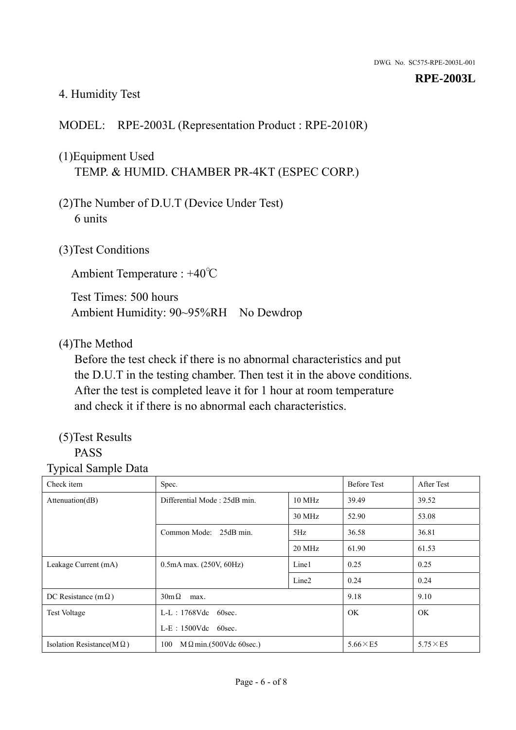#### 4. Humidity Test

#### MODEL: RPE-2003L (Representation Product : RPE-2010R)

## (1)Equipment Used TEMP. & HUMID. CHAMBER PR-4KT (ESPEC CORP.)

- (2)The Number of D.U.T (Device Under Test) 6 units
- (3)Test Conditions

Ambient Temperature : +40℃

Test Times: 500 hours Ambient Humidity: 90~95%RH No Dewdrop

#### (4)The Method

Before the test check if there is no abnormal characteristics and put the D.U.T in the testing chamber. Then test it in the above conditions. After the test is completed leave it for 1 hour at room temperature and check it if there is no abnormal each characteristics.

## (5)Test Results

## PASS

| ັ່<br>л.<br>Check item            | Spec.                                  |                   | <b>Before Test</b> | After Test      |
|-----------------------------------|----------------------------------------|-------------------|--------------------|-----------------|
| Attenuation(dB)                   | Differential Mode: 25dB min.<br>10 MHz |                   | 39.49              | 39.52           |
|                                   |                                        | 30 MHz            | 52.90              | 53.08           |
|                                   | Common Mode: 25dB min.                 | 5Hz               | 36.58              | 36.81           |
|                                   |                                        | 20 MHz            | 61.90              | 61.53           |
| Leakage Current (mA)              | $0.5mA$ max. $(250V, 60Hz)$            | Line1             | 0.25               | 0.25            |
|                                   |                                        | Line <sub>2</sub> | 0.24               | 0.24            |
| DC Resistance (m $\Omega$ )       | $30m\Omega$<br>max.                    |                   | 9.18               | 9.10            |
| <b>Test Voltage</b>               | $L-L$ : 1768Vdc 60sec.                 |                   | OK.                | OK.             |
|                                   | $L-E$ : 1500Vdc 60sec.                 |                   |                    |                 |
| Isolation Resistance(M $\Omega$ ) | $M \Omega$ min.(500Vdc 60sec.)<br>100  |                   | $5.66\times E5$    | $5.75\times E5$ |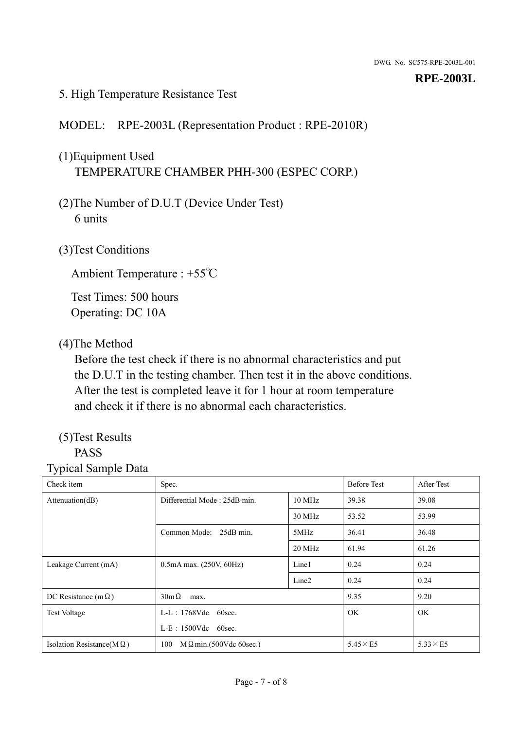#### 5. High Temperature Resistance Test

#### MODEL: RPE-2003L (Representation Product : RPE-2010R)

## (1)Equipment Used TEMPERATURE CHAMBER PHH-300 (ESPEC CORP.)

- (2)The Number of D.U.T (Device Under Test) 6 units
- (3)Test Conditions

Ambient Temperature : +55℃

Test Times: 500 hours Operating: DC 10A

#### (4)The Method

Before the test check if there is no abnormal characteristics and put the D.U.T in the testing chamber. Then test it in the above conditions. After the test is completed leave it for 1 hour at room temperature and check it if there is no abnormal each characteristics.

## (5)Test Results

## PASS

| ັ່<br>л.<br>Check item            | Spec.                                  |                   | <b>Before Test</b> | After Test      |
|-----------------------------------|----------------------------------------|-------------------|--------------------|-----------------|
| Attenuation(dB)                   | Differential Mode: 25dB min.<br>10 MHz |                   | 39.38              | 39.08           |
|                                   |                                        | 30 MHz            | 53.52              | 53.99           |
|                                   | Common Mode: 25dB min.                 | 5MHz              | 36.41              | 36.48           |
|                                   |                                        | 20 MHz            | 61.94              | 61.26           |
| Leakage Current (mA)              | $0.5mA$ max. $(250V, 60Hz)$            | Line1             | 0.24               | 0.24            |
|                                   |                                        | Line <sub>2</sub> | 0.24               | 0.24            |
| DC Resistance (m $\Omega$ )       | $30m\Omega$<br>max.                    |                   | 9.35               | 9.20            |
| <b>Test Voltage</b>               | $L-L$ : 1768Vdc 60sec.                 |                   | OK.                | OK.             |
|                                   | L-E: 1500Vdc 60sec.                    |                   |                    |                 |
| Isolation Resistance(M $\Omega$ ) | $M \Omega$ min.(500Vdc 60sec.)<br>100  |                   | $5.45\times E5$    | $5.33\times E5$ |